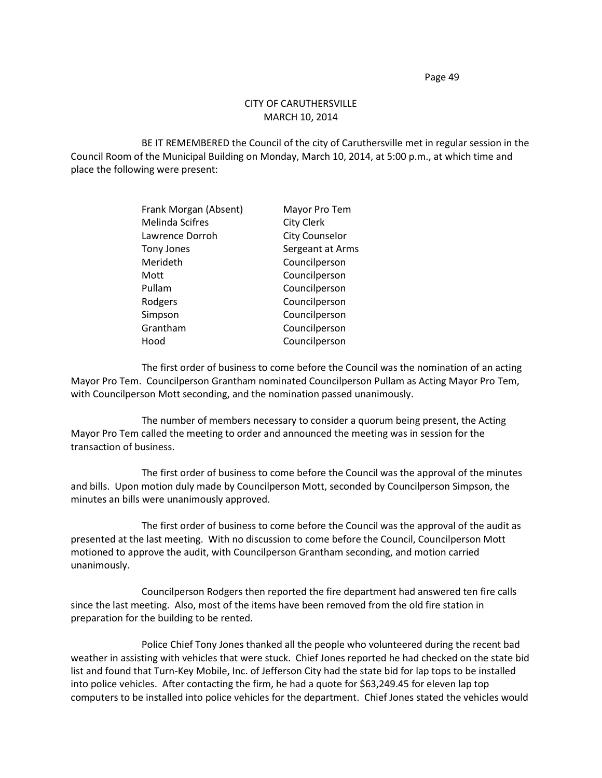Page 49

## CITY OF CARUTHERSVILLE MARCH 10, 2014

BE IT REMEMBERED the Council of the city of Caruthersville met in regular session in the Council Room of the Municipal Building on Monday, March 10, 2014, at 5:00 p.m., at which time and place the following were present:

| Frank Morgan (Absent)  | Mayor Pro Tem         |
|------------------------|-----------------------|
| <b>Melinda Scifres</b> | <b>City Clerk</b>     |
| Lawrence Dorroh        | <b>City Counselor</b> |
| <b>Tony Jones</b>      | Sergeant at Arms      |
| Merideth               | Councilperson         |
| Mott                   | Councilperson         |
| Pullam                 | Councilperson         |
| Rodgers                | Councilperson         |
| Simpson                | Councilperson         |
| Grantham               | Councilperson         |
| Hood                   | Councilperson         |

The first order of business to come before the Council was the nomination of an acting Mayor Pro Tem. Councilperson Grantham nominated Councilperson Pullam as Acting Mayor Pro Tem, with Councilperson Mott seconding, and the nomination passed unanimously.

The number of members necessary to consider a quorum being present, the Acting Mayor Pro Tem called the meeting to order and announced the meeting was in session for the transaction of business.

The first order of business to come before the Council was the approval of the minutes and bills. Upon motion duly made by Councilperson Mott, seconded by Councilperson Simpson, the minutes an bills were unanimously approved.

The first order of business to come before the Council was the approval of the audit as presented at the last meeting. With no discussion to come before the Council, Councilperson Mott motioned to approve the audit, with Councilperson Grantham seconding, and motion carried unanimously.

Councilperson Rodgers then reported the fire department had answered ten fire calls since the last meeting. Also, most of the items have been removed from the old fire station in preparation for the building to be rented.

Police Chief Tony Jones thanked all the people who volunteered during the recent bad weather in assisting with vehicles that were stuck. Chief Jones reported he had checked on the state bid list and found that Turn-Key Mobile, Inc. of Jefferson City had the state bid for lap tops to be installed into police vehicles. After contacting the firm, he had a quote for \$63,249.45 for eleven lap top computers to be installed into police vehicles for the department. Chief Jones stated the vehicles would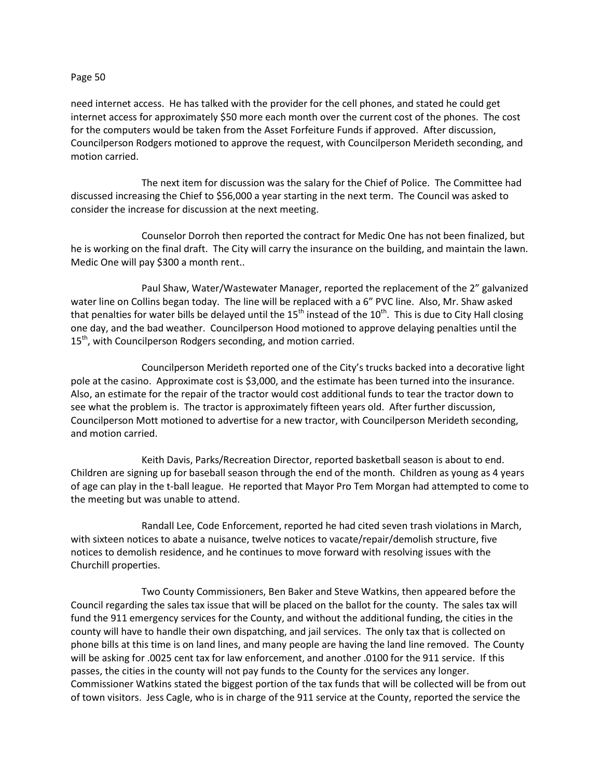## Page 50

need internet access. He has talked with the provider for the cell phones, and stated he could get internet access for approximately \$50 more each month over the current cost of the phones. The cost for the computers would be taken from the Asset Forfeiture Funds if approved. After discussion, Councilperson Rodgers motioned to approve the request, with Councilperson Merideth seconding, and motion carried.

The next item for discussion was the salary for the Chief of Police. The Committee had discussed increasing the Chief to \$56,000 a year starting in the next term. The Council was asked to consider the increase for discussion at the next meeting.

Counselor Dorroh then reported the contract for Medic One has not been finalized, but he is working on the final draft. The City will carry the insurance on the building, and maintain the lawn. Medic One will pay \$300 a month rent..

Paul Shaw, Water/Wastewater Manager, reported the replacement of the 2" galvanized water line on Collins began today. The line will be replaced with a 6" PVC line. Also, Mr. Shaw asked that penalties for water bills be delayed until the  $15<sup>th</sup>$  instead of the  $10<sup>th</sup>$ . This is due to City Hall closing one day, and the bad weather. Councilperson Hood motioned to approve delaying penalties until the 15<sup>th</sup>, with Councilperson Rodgers seconding, and motion carried.

Councilperson Merideth reported one of the City's trucks backed into a decorative light pole at the casino. Approximate cost is \$3,000, and the estimate has been turned into the insurance. Also, an estimate for the repair of the tractor would cost additional funds to tear the tractor down to see what the problem is. The tractor is approximately fifteen years old. After further discussion, Councilperson Mott motioned to advertise for a new tractor, with Councilperson Merideth seconding, and motion carried.

Keith Davis, Parks/Recreation Director, reported basketball season is about to end. Children are signing up for baseball season through the end of the month. Children as young as 4 years of age can play in the t-ball league. He reported that Mayor Pro Tem Morgan had attempted to come to the meeting but was unable to attend.

Randall Lee, Code Enforcement, reported he had cited seven trash violations in March, with sixteen notices to abate a nuisance, twelve notices to vacate/repair/demolish structure, five notices to demolish residence, and he continues to move forward with resolving issues with the Churchill properties.

Two County Commissioners, Ben Baker and Steve Watkins, then appeared before the Council regarding the sales tax issue that will be placed on the ballot for the county. The sales tax will fund the 911 emergency services for the County, and without the additional funding, the cities in the county will have to handle their own dispatching, and jail services. The only tax that is collected on phone bills at this time is on land lines, and many people are having the land line removed. The County will be asking for .0025 cent tax for law enforcement, and another .0100 for the 911 service. If this passes, the cities in the county will not pay funds to the County for the services any longer. Commissioner Watkins stated the biggest portion of the tax funds that will be collected will be from out of town visitors. Jess Cagle, who is in charge of the 911 service at the County, reported the service the